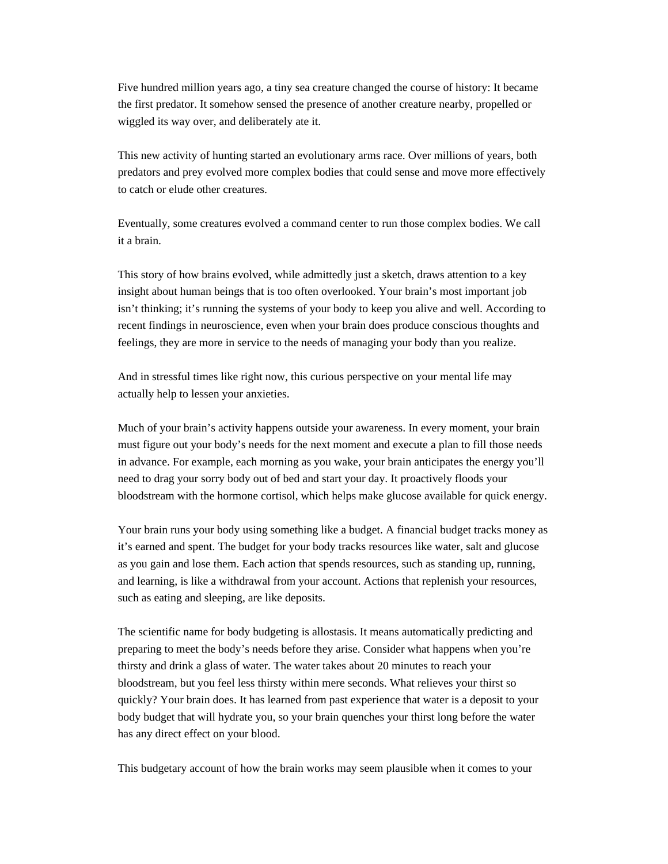Five hundred million years ago, a tiny sea creature changed the course of history: It became the first predator. It somehow sensed the presence of another creature nearby, propelled or wiggled its way over, and deliberately ate it.

This new activity of hunting started an evolutionary arms race. Over millions of years, both predators and prey evolved more complex bodies that could sense and move more effectively to catch or elude other creatures.

Eventually, some creatures evolved a command center to run those complex bodies. We call it a brain.

This story of how brains evolved, while admittedly just a sketch, draws attention to a key insight about human beings that is too often overlooked. Your brain's most important job isn't thinking; it's running the systems of your body to keep you alive and well. According to recent findings in neuroscience, even when your brain does produce conscious thoughts and feelings, they are more in service to the needs of managing your body than you realize.

And in stressful times like right now, this curious perspective on your mental life may actually help to lessen your anxieties.

Much of your brain's activity happens outside your awareness. In every moment, your brain must figure out your body's needs for the next moment and execute a plan to fill those needs in advance. For example, each morning as you wake, your brain anticipates the energy you'll need to drag your sorry body out of bed and start your day. It proactively floods your bloodstream with the hormone cortisol, which helps make glucose available for quick energy.

Your brain runs your body using something like a budget. A financial budget tracks money as it's earned and spent. The budget for your body tracks resources like water, salt and glucose as you gain and lose them. Each action that spends resources, such as standing up, running, and learning, is like a withdrawal from your account. Actions that replenish your resources, such as eating and sleeping, are like deposits.

The scientific name for body budgeting is allostasis. It means automatically predicting and preparing to meet the body's needs before they arise. Consider what happens when you're thirsty and drink a glass of water. The water takes about 20 minutes to reach your bloodstream, but you feel less thirsty within mere seconds. What relieves your thirst so quickly? Your brain does. It has learned from past experience that water is a deposit to your body budget that will hydrate you, so your brain quenches your thirst long before the water has any direct effect on your blood.

This budgetary account of how the brain works may seem plausible when it comes to your